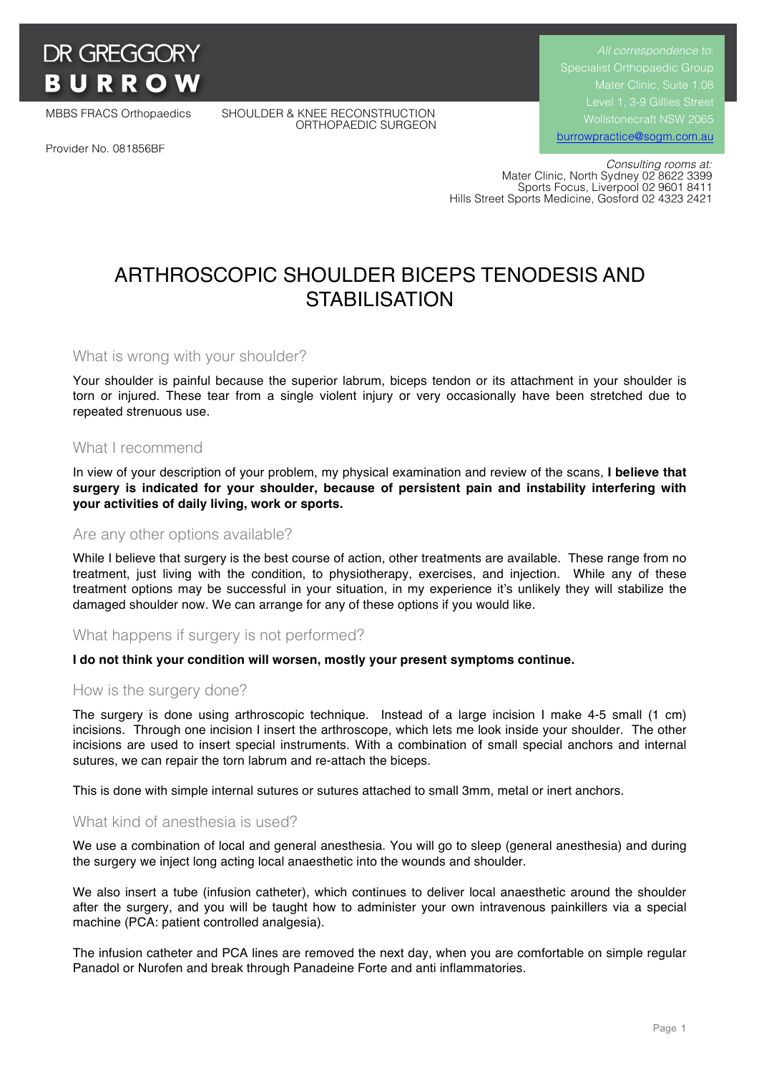

MBBS FRACS Orthopaedics SHOULDER & KNEE RECONSTRUCTION ORTHOPAEDIC SURGEON

*All correspondence to*: Specialist Orthopaedic Group Mater Clinic, Suite 1.08 Wollstonecraft NSW 2065 burrowpractice@sogm.com.au

Provider No. 081856BF

 *Consulting rooms at:* Mater Clinic, North Sydney 02 8622 3399 Sports Focus, Liverpool 02 9601 8411 Hills Street Sports Medicine, Gosford 02 4323 2421

# ARTHROSCOPIC SHOULDER BICEPS TENODESIS AND **STABILISATION**

What is wrong with your shoulder?

Your shoulder is painful because the superior labrum, biceps tendon or its attachment in your shoulder is torn or injured. These tear from a single violent injury or very occasionally have been stretched due to repeated strenuous use.

#### What I recommend

In view of your description of your problem, my physical examination and review of the scans, **I believe that surgery is indicated for your shoulder, because of persistent pain and instability interfering with your activities of daily living, work or sports.**

#### Are any other options available?

While I believe that surgery is the best course of action, other treatments are available. These range from no treatment, just living with the condition, to physiotherapy, exercises, and injection. While any of these treatment options may be successful in your situation, in my experience it's unlikely they will stabilize the damaged shoulder now. We can arrange for any of these options if you would like.

#### What happens if surgery is not performed?

#### **I do not think your condition will worsen, mostly your present symptoms continue.**

#### How is the surgery done?

The surgery is done using arthroscopic technique. Instead of a large incision I make 4-5 small (1 cm) incisions. Through one incision I insert the arthroscope, which lets me look inside your shoulder. The other incisions are used to insert special instruments. With a combination of small special anchors and internal sutures, we can repair the torn labrum and re-attach the biceps.

This is done with simple internal sutures or sutures attached to small 3mm, metal or inert anchors.

#### What kind of anesthesia is used?

We use a combination of local and general anesthesia. You will go to sleep (general anesthesia) and during the surgery we inject long acting local anaesthetic into the wounds and shoulder.

We also insert a tube (infusion catheter), which continues to deliver local anaesthetic around the shoulder after the surgery, and you will be taught how to administer your own intravenous painkillers via a special machine (PCA: patient controlled analgesia).

The infusion catheter and PCA lines are removed the next day, when you are comfortable on simple regular Panadol or Nurofen and break through Panadeine Forte and anti inflammatories.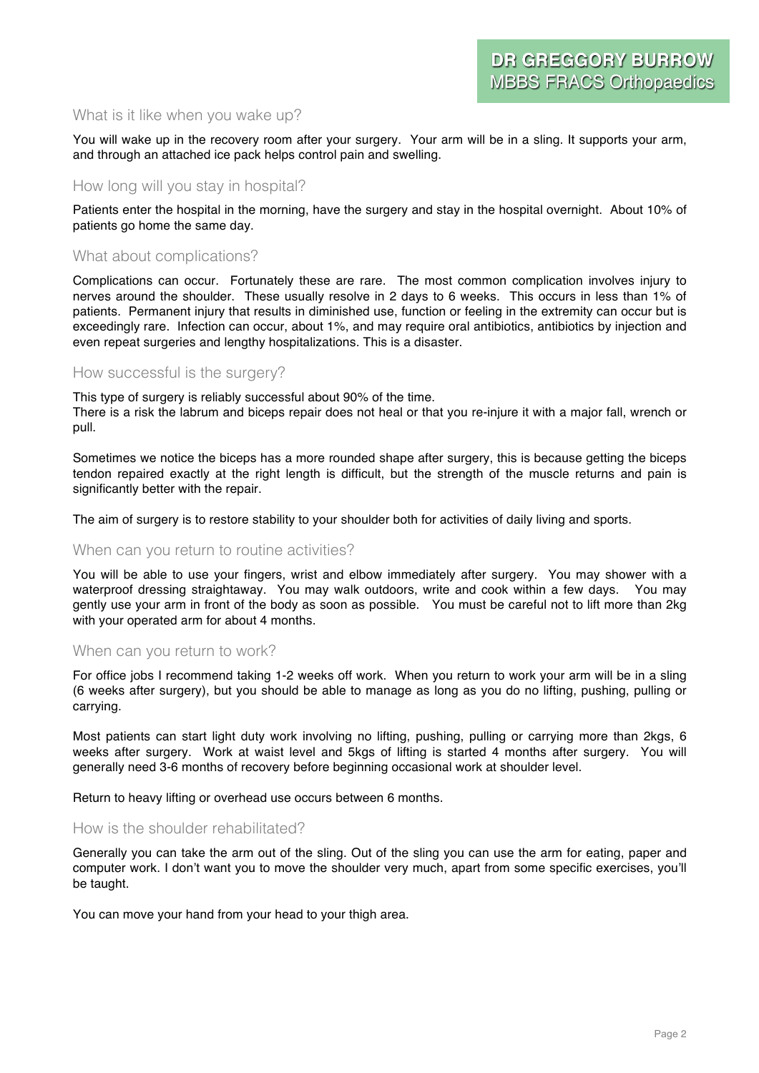## What is it like when you wake up?

You will wake up in the recovery room after your surgery. Your arm will be in a sling. It supports your arm, and through an attached ice pack helps control pain and swelling.

#### How long will you stay in hospital?

Patients enter the hospital in the morning, have the surgery and stay in the hospital overnight. About 10% of patients go home the same day.

### What about complications?

Complications can occur. Fortunately these are rare. The most common complication involves injury to nerves around the shoulder. These usually resolve in 2 days to 6 weeks. This occurs in less than 1% of patients. Permanent injury that results in diminished use, function or feeling in the extremity can occur but is exceedingly rare. Infection can occur, about 1%, and may require oral antibiotics, antibiotics by injection and even repeat surgeries and lengthy hospitalizations. This is a disaster.

#### How successful is the surgery?

This type of surgery is reliably successful about 90% of the time.

There is a risk the labrum and biceps repair does not heal or that you re-injure it with a major fall, wrench or pull.

Sometimes we notice the biceps has a more rounded shape after surgery, this is because getting the biceps tendon repaired exactly at the right length is difficult, but the strength of the muscle returns and pain is significantly better with the repair.

The aim of surgery is to restore stability to your shoulder both for activities of daily living and sports.

## When can you return to routine activities?

You will be able to use your fingers, wrist and elbow immediately after surgery. You may shower with a waterproof dressing straightaway. You may walk outdoors, write and cook within a few days. You may gently use your arm in front of the body as soon as possible. You must be careful not to lift more than 2kg with your operated arm for about 4 months.

#### When can you return to work?

For office jobs I recommend taking 1-2 weeks off work. When you return to work your arm will be in a sling (6 weeks after surgery), but you should be able to manage as long as you do no lifting, pushing, pulling or carrying.

Most patients can start light duty work involving no lifting, pushing, pulling or carrying more than 2kgs, 6 weeks after surgery. Work at waist level and 5kgs of lifting is started 4 months after surgery. You will generally need 3-6 months of recovery before beginning occasional work at shoulder level.

Return to heavy lifting or overhead use occurs between 6 months.

#### How is the shoulder rehabilitated?

Generally you can take the arm out of the sling. Out of the sling you can use the arm for eating, paper and computer work. I don't want you to move the shoulder very much, apart from some specific exercises, you'll be taught.

You can move your hand from your head to your thigh area.